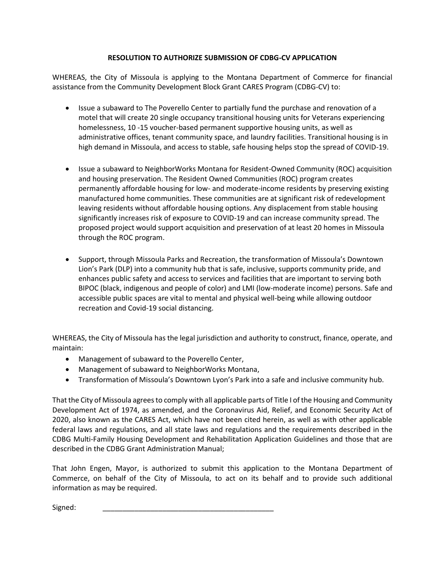## **RESOLUTION TO AUTHORIZE SUBMISSION OF CDBG-CV APPLICATION**

WHEREAS, the City of Missoula is applying to the Montana Department of Commerce for financial assistance from the Community Development Block Grant CARES Program (CDBG-CV) to:

- Issue a subaward to The Poverello Center to partially fund the purchase and renovation of a motel that will create 20 single occupancy transitional housing units for Veterans experiencing homelessness, 10 -15 voucher-based permanent supportive housing units, as well as administrative offices, tenant community space, and laundry facilities. Transitional housing is in high demand in Missoula, and access to stable, safe housing helps stop the spread of COVID-19.
- Issue a subaward to NeighborWorks Montana for Resident-Owned Community (ROC) acquisition and housing preservation. The Resident Owned Communities (ROC) program creates permanently affordable housing for low- and moderate-income residents by preserving existing manufactured home communities. These communities are at significant risk of redevelopment leaving residents without affordable housing options. Any displacement from stable housing significantly increases risk of exposure to COVID-19 and can increase community spread. The proposed project would support acquisition and preservation of at least 20 homes in Missoula through the ROC program.
- Support, through Missoula Parks and Recreation, the transformation of Missoula's Downtown Lion's Park (DLP) into a community hub that is safe, inclusive, supports community pride, and enhances public safety and access to services and facilities that are important to serving both BIPOC (black, indigenous and people of color) and LMI (low-moderate income) persons. Safe and accessible public spaces are vital to mental and physical well-being while allowing outdoor recreation and Covid-19 social distancing.

WHEREAS, the City of Missoula has the legal jurisdiction and authority to construct, finance, operate, and maintain:

- Management of subaward to the Poverello Center,
- Management of subaward to NeighborWorks Montana,
- Transformation of Missoula's Downtown Lyon's Park into a safe and inclusive community hub.

That the City of Missoula agrees to comply with all applicable parts of Title I of the Housing and Community Development Act of 1974, as amended, and the Coronavirus Aid, Relief, and Economic Security Act of 2020, also known as the CARES Act, which have not been cited herein, as well as with other applicable federal laws and regulations, and all state laws and regulations and the requirements described in the CDBG Multi-Family Housing Development and Rehabilitation Application Guidelines and those that are described in the CDBG Grant Administration Manual;

That John Engen, Mayor, is authorized to submit this application to the Montana Department of Commerce, on behalf of the City of Missoula, to act on its behalf and to provide such additional information as may be required.

Signed: \_\_\_\_\_\_\_\_\_\_\_\_\_\_\_\_\_\_\_\_\_\_\_\_\_\_\_\_\_\_\_\_\_\_\_\_\_\_\_\_\_\_\_